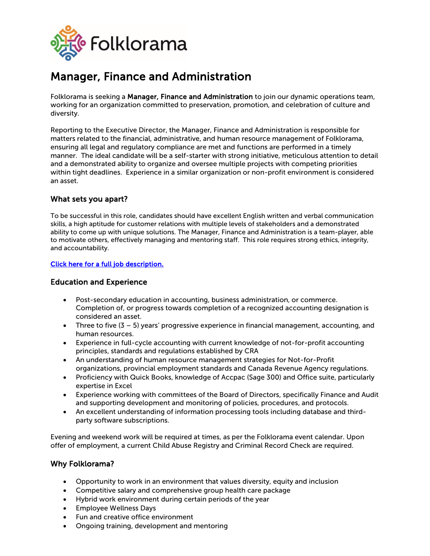

# Manager, Finance and Administration

Folklorama is seeking a Manager, Finance and Administration to join our dynamic operations team, working for an organization committed to preservation, promotion, and celebration of culture and diversity.

Reporting to the Executive Director, the Manager, Finance and Administration is responsible for matters related to the financial, administrative, and human resource management of Folklorama, ensuring all legal and regulatory compliance are met and functions are performed in a timely manner. The ideal candidate will be a self-starter with strong initiative, meticulous attention to detail and a demonstrated ability to organize and oversee multiple projects with competing priorities within tight deadlines. Experience in a similar organization or non-profit environment is considered an asset.

# What sets you apart?

To be successful in this role, candidates should have excellent English written and verbal communication skills, a high aptitude for customer relations with multiple levels of stakeholders and a demonstrated ability to come up with unique solutions. The Manager, Finance and Administration is a team-player, able to motivate others, effectively managing and mentoring staff. This role requires strong ethics, integrity, and accountability.

### [Click here for a full job description.](https://folklorama.ca/wp-content/uploads/2022/05/2022-Mgr-FinAdmin-Full-Job-Description.pdf)

# Education and Experience

- Post-secondary education in accounting, business administration, or commerce. Completion of, or progress towards completion of a recognized accounting designation is considered an asset.
- Three to five  $(3 5)$  years' progressive experience in financial management, accounting, and human resources.
- Experience in full-cycle accounting with current knowledge of not-for-profit accounting principles, standards and regulations established by CRA
- An understanding of human resource management strategies for Not-for-Profit organizations, provincial employment standards and Canada Revenue Agency regulations.
- Proficiency with Quick Books, knowledge of Accpac (Sage 300) and Office suite, particularly expertise in Excel
- Experience working with committees of the Board of Directors, specifically Finance and Audit and supporting development and monitoring of policies, procedures, and protocols.
- An excellent understanding of information processing tools including database and thirdparty software subscriptions.

Evening and weekend work will be required at times, as per the Folklorama event calendar. Upon offer of employment, a current Child Abuse Registry and Criminal Record Check are required.

# Why Folklorama?

- Opportunity to work in an environment that values diversity, equity and inclusion
- Competitive salary and comprehensive group health care package
- Hybrid work environment during certain periods of the year
- Employee Wellness Days
- Fun and creative office environment
- Ongoing training, development and mentoring